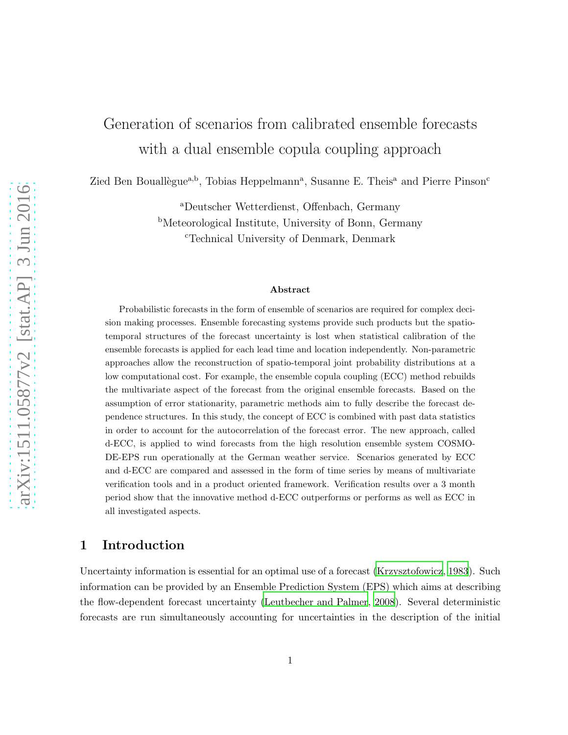# Generation of scenarios from calibrated ensemble forecasts with a dual ensemble copula coupling approach

Zied Ben Bouallègue<sup>a,b</sup>, Tobias Heppelmann<sup>a</sup>, Susanne E. Theis<sup>a</sup> and Pierre Pinson<sup>c</sup>

<sup>a</sup>Deutscher Wetterdienst, Offenbach, Germany <sup>b</sup>Meteorological Institute, University of Bonn, Germany <sup>c</sup>Technical University of Denmark, Denmark

#### Abstract

Probabilistic forecasts in the form of ensemble of scenarios are required for complex decision making processes. Ensemble forecasting systems provide such products but the spatiotemporal structures of the forecast uncertainty is lost when statistical calibration of the ensemble forecasts is applied for each lead time and location independently. Non-parametric approaches allow the reconstruction of spatio-temporal joint probability distributions at a low computational cost. For example, the ensemble copula coupling (ECC) method rebuilds the multivariate aspect of the forecast from the original ensemble forecasts. Based on the assumption of error stationarity, parametric methods aim to fully describe the forecast dependence structures. In this study, the concept of ECC is combined with past data statistics in order to account for the autocorrelation of the forecast error. The new approach, called d-ECC, is applied to wind forecasts from the high resolution ensemble system COSMO-DE-EPS run operationally at the German weather service. Scenarios generated by ECC and d-ECC are compared and assessed in the form of time series by means of multivariate verification tools and in a product oriented framework. Verification results over a 3 month period show that the innovative method d-ECC outperforms or performs as well as ECC in all investigated aspects.

# 1 Introduction

Uncertainty information is essential for an optimal use of a forecast [\(Krzysztofowicz](#page-21-0), [1983](#page-21-0)). Such information can be provided by an Ensemble Prediction System (EPS) which aims at describing the flow-dependent forecast uncertainty [\(Leutbecher and Palmer, 2008\)](#page-22-0). Several deterministic forecasts are run simultaneously accounting for uncertainties in the description of the initial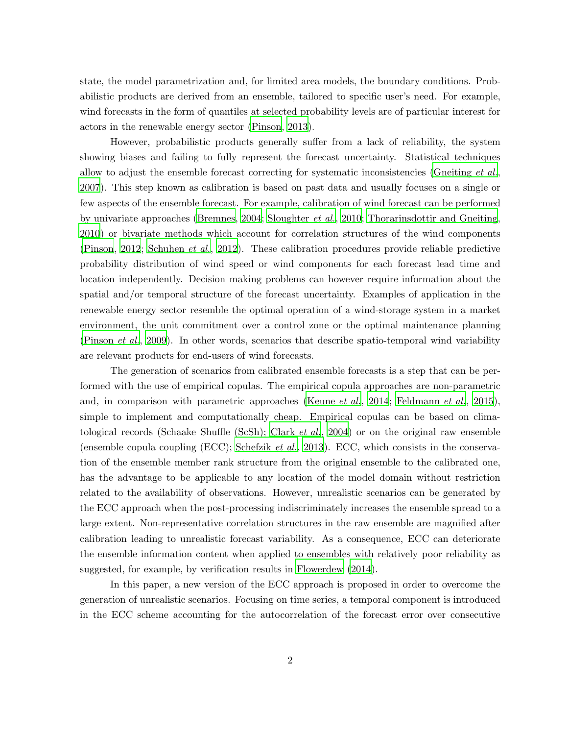state, the model parametrization and, for limited area models, the boundary conditions. Probabilistic products are derived from an ensemble, tailored to specific user's need. For example, wind forecasts in the form of quantiles at selected probability levels are of particular interest for actors in the renewable energy sector [\(Pinson, 2013](#page-22-1)).

However, probabilistic products generally suffer from a lack of reliability, the system showing biases and failing to fully represent the forecast uncertainty. Statistical techniques allow to adjust the ensemble forecast correcting for systematic inconsistencies [\(Gneiting](#page-21-1) *et al.*, [2007](#page-21-1)). This step known as calibration is based on past data and usually focuses on a single or few aspects of the ensemble forecast. For example, calibration of wind forecast can be performed by univariate approaches [\(Bremnes, 2004](#page-20-0); [Sloughter](#page-22-2) *et al.*, [2010;](#page-22-2) [Thorarinsdottir and Gneiting,](#page-23-0) [2010](#page-23-0)) or bivariate methods which account for correlation structures of the wind components [\(Pinson, 2012](#page-22-3); [Schuhen](#page-22-4) *et al.*, [2012](#page-22-4)). These calibration procedures provide reliable predictive probability distribution of wind speed or wind components for each forecast lead time and location independently. Decision making problems can however require information about the spatial and/or temporal structure of the forecast uncertainty. Examples of application in the renewable energy sector resemble the optimal operation of a wind-storage system in a market environment, the unit commitment over a control zone or the optimal maintenance planning [\(Pinson](#page-22-5) *et al.*, [2009](#page-22-5)). In other words, scenarios that describe spatio-temporal wind variability are relevant products for end-users of wind forecasts.

The generation of scenarios from calibrated ensemble forecasts is a step that can be performed with the use of empirical copulas. The empirical copula approaches are non-parametric and, in comparison with parametric approaches [\(Keune](#page-21-2) *et al.*, [2014](#page-21-2); [Feldmann](#page-21-3) *et al.*, [2015](#page-21-3)), simple to implement and computationally cheap. Empirical copulas can be based on climatological records (Schaake Shuffle (ScSh); [Clark](#page-21-4) *et al.*, [2004](#page-21-4)) or on the original raw ensemble (ensemble copula coupling (ECC); [Schefzik](#page-22-6) *et al.*, [2013](#page-22-6)). ECC, which consists in the conservation of the ensemble member rank structure from the original ensemble to the calibrated one, has the advantage to be applicable to any location of the model domain without restriction related to the availability of observations. However, unrealistic scenarios can be generated by the ECC approach when the post-processing indiscriminately increases the ensemble spread to a large extent. Non-representative correlation structures in the raw ensemble are magnified after calibration leading to unrealistic forecast variability. As a consequence, ECC can deteriorate the ensemble information content when applied to ensembles with relatively poor reliability as suggested, for example, by verification results in [Flowerdew \(2014](#page-21-5)).

In this paper, a new version of the ECC approach is proposed in order to overcome the generation of unrealistic scenarios. Focusing on time series, a temporal component is introduced in the ECC scheme accounting for the autocorrelation of the forecast error over consecutive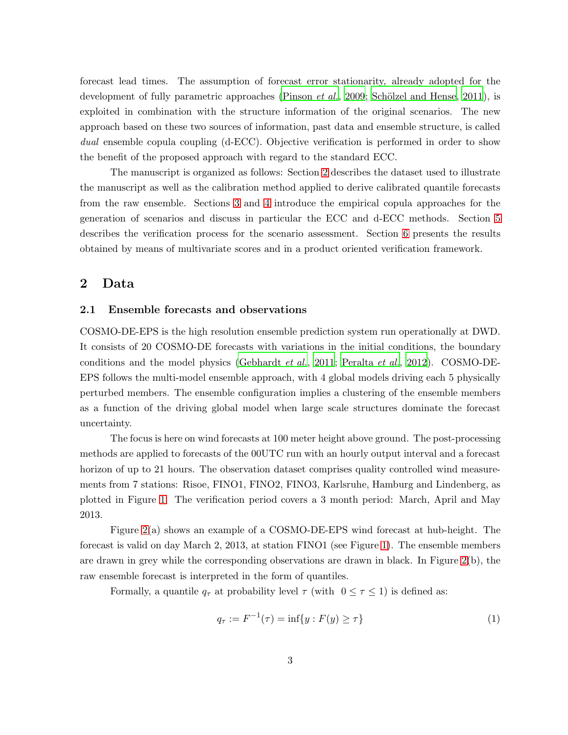forecast lead times. The assumption of forecast error stationarity, already adopted for the development of fully parametric approaches [\(Pinson](#page-22-5) *et al.*, [2009;](#page-22-5) Schölzel and Hense, [2011\)](#page-22-7), is exploited in combination with the structure information of the original scenarios. The new approach based on these two sources of information, past data and ensemble structure, is called *dual* ensemble copula coupling (d-ECC). Objective verification is performed in order to show the benefit of the proposed approach with regard to the standard ECC.

The manuscript is organized as follows: Section [2](#page-2-0) describes the dataset used to illustrate the manuscript as well as the calibration method applied to derive calibrated quantile forecasts from the raw ensemble. Sections [3](#page-5-0) and [4](#page-9-0) introduce the empirical copula approaches for the generation of scenarios and discuss in particular the ECC and d-ECC methods. Section [5](#page-13-0) describes the verification process for the scenario assessment. Section [6](#page-16-0) presents the results obtained by means of multivariate scores and in a product oriented verification framework.

## <span id="page-2-0"></span>2 Data

#### 2.1 Ensemble forecasts and observations

COSMO-DE-EPS is the high resolution ensemble prediction system run operationally at DWD. It consists of 20 COSMO-DE forecasts with variations in the initial conditions, the boundary conditions and the model physics [\(Gebhardt](#page-21-6) *et al.*, [2011;](#page-21-6) [Peralta](#page-22-8) *et al.*, [2012](#page-22-8)). COSMO-DE-EPS follows the multi-model ensemble approach, with 4 global models driving each 5 physically perturbed members. The ensemble configuration implies a clustering of the ensemble members as a function of the driving global model when large scale structures dominate the forecast uncertainty.

The focus is here on wind forecasts at 100 meter height above ground. The post-processing methods are applied to forecasts of the 00UTC run with an hourly output interval and a forecast horizon of up to 21 hours. The observation dataset comprises quality controlled wind measurements from 7 stations: Risoe, FINO1, FINO2, FINO3, Karlsruhe, Hamburg and Lindenberg, as plotted in Figure [1.](#page-3-0) The verification period covers a 3 month period: March, April and May 2013.

Figure [2\(](#page-3-1)a) shows an example of a COSMO-DE-EPS wind forecast at hub-height. The forecast is valid on day March 2, 2013, at station FINO1 (see Figure [1\)](#page-3-0). The ensemble members are drawn in grey while the corresponding observations are drawn in black. In Figure [2\(](#page-3-1)b), the raw ensemble forecast is interpreted in the form of quantiles.

Formally, a quantile  $q_{\tau}$  at probability level  $\tau$  (with  $0 \leq \tau \leq 1$ ) is defined as:

$$
q_{\tau} := F^{-1}(\tau) = \inf\{y : F(y) \ge \tau\}
$$
 (1)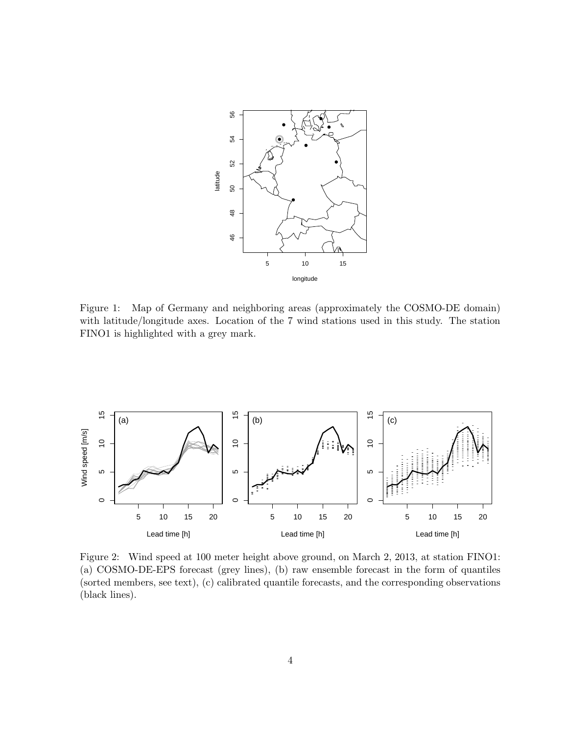

<span id="page-3-0"></span>Figure 1: Map of Germany and neighboring areas (approximately the COSMO-DE domain) with latitude/longitude axes. Location of the 7 wind stations used in this study. The station FINO1 is highlighted with a grey mark.



<span id="page-3-1"></span>Figure 2: Wind speed at 100 meter height above ground, on March 2, 2013, at station FINO1: (a) COSMO-DE-EPS forecast (grey lines), (b) raw ensemble forecast in the form of quantiles (sorted members, see text), (c) calibrated quantile forecasts, and the corresponding observations (black lines).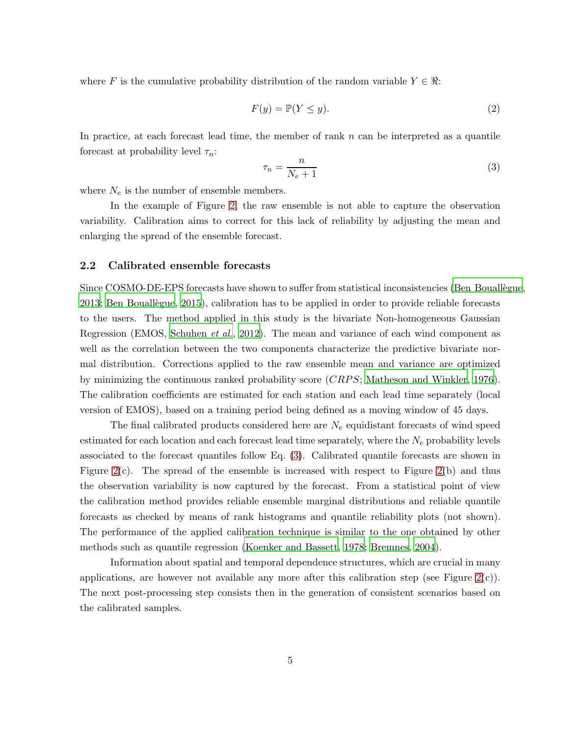where F is the cumulative probability distribution of the random variable  $Y \in \mathbb{R}$ :

<span id="page-4-1"></span>
$$
F(y) = \mathbb{P}(Y \le y). \tag{2}
$$

In practice, at each forecast lead time, the member of rank  $n$  can be interpreted as a quantile forecast at probability level  $\tau_n$ :

<span id="page-4-0"></span>
$$
\tau_n = \frac{n}{N_e + 1} \tag{3}
$$

where  $N_e$  is the number of ensemble members.

In the example of Figure [2,](#page-3-1) the raw ensemble is not able to capture the observation variability. Calibration aims to correct for this lack of reliability by adjusting the mean and enlarging the spread of the ensemble forecast.

## 2.2 Calibrated ensemble forecasts

Since COSMO-DE-EPS forecasts have shown to suffer from statistical inconsistencies (Ben Bouallegue, [2013;](#page-20-1) Ben Bouallègue, [2015](#page-20-2)), calibration has to be applied in order to provide reliable forecasts to the users. The method applied in this study is the bivariate Non-homogeneous Gaussian Regression (EMOS, [Schuhen](#page-22-4) *et al.*, [2012\)](#page-22-4). The mean and variance of each wind component as well as the correlation between the two components characterize the predictive bivariate normal distribution. Corrections applied to the raw ensemble mean and variance are optimized by minimizing the continuous ranked probability score (CRPS; [Matheson and Winkler, 1976](#page-22-9)). The calibration coefficients are estimated for each station and each lead time separately (local version of EMOS), based on a training period being defined as a moving window of 45 days.

The final calibrated products considered here are  $N_e$  equidistant forecasts of wind speed estimated for each location and each forecast lead time separately, where the  $N_e$  probability levels associated to the forecast quantiles follow Eq. [\(3\)](#page-4-0). Calibrated quantile forecasts are shown in Figure  $2(c)$ . The spread of the ensemble is increased with respect to Figure  $2(b)$  and thus the observation variability is now captured by the forecast. From a statistical point of view the calibration method provides reliable ensemble marginal distributions and reliable quantile forecasts as checked by means of rank histograms and quantile reliability plots (not shown). The performance of the applied calibration technique is similar to the one obtained by other methods such as quantile regression [\(Koenker and Bassett](#page-21-7), [1978;](#page-21-7) [Bremnes, 2004](#page-20-0)).

Information about spatial and temporal dependence structures, which are crucial in many applications, are however not available any more after this calibration step (see Figure  $2(c)$ ). The next post-processing step consists then in the generation of consistent scenarios based on the calibrated samples.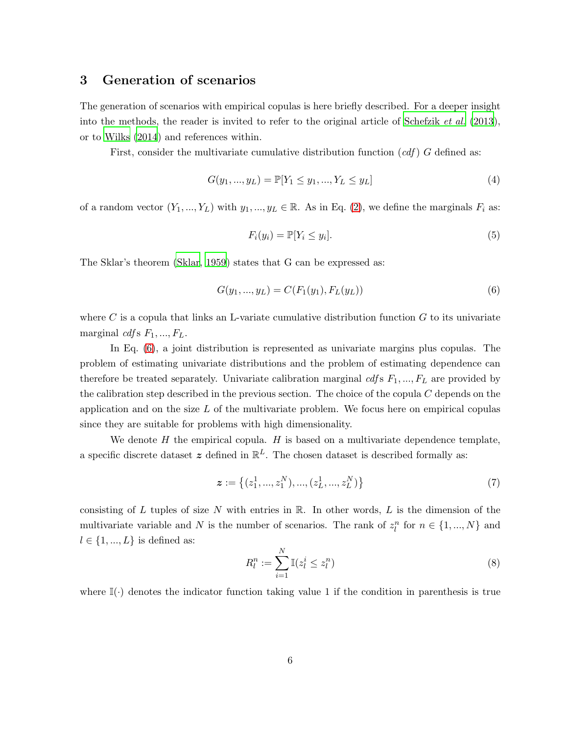## <span id="page-5-0"></span>3 Generation of scenarios

The generation of scenarios with empirical copulas is here briefly described. For a deeper insight into the methods, the reader is invited to refer to the original article of [Schefzik](#page-22-6) *et al.* [\(2013](#page-22-6)), or to [Wilks \(2014\)](#page-23-1) and references within.

First, consider the multivariate cumulative distribution function (*cdf* ) G defined as:

$$
G(y_1, ..., y_L) = \mathbb{P}[Y_1 \le y_1, ..., Y_L \le y_L]
$$
\n<sup>(4)</sup>

of a random vector  $(Y_1, ..., Y_L)$  with  $y_1, ..., y_L \in \mathbb{R}$ . As in Eq. [\(2\)](#page-4-1), we define the marginals  $F_i$  as:

$$
F_i(y_i) = \mathbb{P}[Y_i \le y_i].\tag{5}
$$

The Sklar's theorem [\(Sklar](#page-22-10), [1959\)](#page-22-10) states that G can be expressed as:

<span id="page-5-1"></span>
$$
G(y_1, ..., y_L) = C(F_1(y_1), F_L(y_L))
$$
\n(6)

where C is a copula that links an L-variate cumulative distribution function  $G$  to its univariate marginal *cdf* s  $F_1, ..., F_L$ .

In Eq. [\(6\)](#page-5-1), a joint distribution is represented as univariate margins plus copulas. The problem of estimating univariate distributions and the problem of estimating dependence can therefore be treated separately. Univariate calibration marginal  $\mathit{cdfs}$   $F_1, ..., F_L$  are provided by the calibration step described in the previous section. The choice of the copula  $C$  depends on the application and on the size  $L$  of the multivariate problem. We focus here on empirical copulas since they are suitable for problems with high dimensionality.

We denote  $H$  the empirical copula.  $H$  is based on a multivariate dependence template, a specific discrete dataset  $z$  defined in  $\mathbb{R}^L$ . The chosen dataset is described formally as:

<span id="page-5-2"></span>
$$
\boldsymbol{z} := \left\{ (z_1^1, ..., z_1^N), ..., (z_L^1, ..., z_L^N) \right\}
$$
 (7)

consisting of L tuples of size N with entries in  $\mathbb R$ . In other words, L is the dimension of the multivariate variable and N is the number of scenarios. The rank of  $z_l^n$  for  $n \in \{1, ..., N\}$  and  $l \in \{1, ..., L\}$  is defined as:

$$
R_l^n := \sum_{i=1}^N \mathbb{I}(z_l^i \le z_l^n) \tag{8}
$$

where  $\mathbb{I}(\cdot)$  denotes the indicator function taking value 1 if the condition in parenthesis is true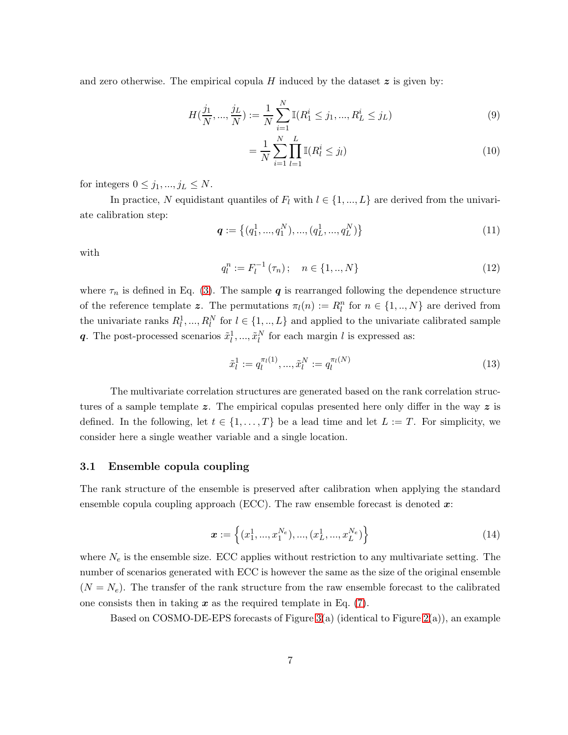and zero otherwise. The empirical copula H induced by the dataset  $z$  is given by:

$$
H(\frac{j_1}{N}, ..., \frac{j_L}{N}) := \frac{1}{N} \sum_{i=1}^{N} \mathbb{I}(R_1^i \le j_1, ..., R_L^i \le j_L)
$$
\n(9)

$$
= \frac{1}{N} \sum_{i=1}^{N} \prod_{l=1}^{L} \mathbb{I}(R_l^i \leq j_l)
$$
\n(10)

for integers  $0 \leq j_1, ..., j_L \leq N$ .

In practice, N equidistant quantiles of  $F_l$  with  $l \in \{1, ..., L\}$  are derived from the univariate calibration step:

$$
\boldsymbol{q} := \left\{ (q_1^1, ..., q_1^N), ..., (q_L^1, ..., q_L^N) \right\}
$$
 (11)

with

$$
q_l^n := F_l^{-1}(\tau_n); \quad n \in \{1, ..., N\}
$$
\n(12)

where  $\tau_n$  is defined in Eq. [\(3\)](#page-4-0). The sample q is rearranged following the dependence structure of the reference template z. The permutations  $\pi_l(n) := R_l^n$  for  $n \in \{1, ..., N\}$  are derived from the univariate ranks  $R_l^1, ..., R_l^N$  for  $l \in \{1, ..., L\}$  and applied to the univariate calibrated sample q. The post-processed scenarios  $\tilde{x}_l^1, ..., \tilde{x}_l^N$  for each margin l is expressed as:

$$
\tilde{x}_l^1 := q_l^{\pi_l(1)}, \dots, \tilde{x}_l^N := q_l^{\pi_l(N)} \tag{13}
$$

The multivariate correlation structures are generated based on the rank correlation structures of a sample template z. The empirical copulas presented here only differ in the way z is defined. In the following, let  $t \in \{1, \ldots, T\}$  be a lead time and let  $L := T$ . For simplicity, we consider here a single weather variable and a single location.

### 3.1 Ensemble copula coupling

The rank structure of the ensemble is preserved after calibration when applying the standard ensemble copula coupling approach (ECC). The raw ensemble forecast is denoted  $x$ :

$$
\boldsymbol{x} := \left\{ (x_1^1, ..., x_1^{N_e}), ..., (x_L^1, ..., x_L^{N_e}) \right\}
$$
 (14)

where  $N_e$  is the ensemble size. ECC applies without restriction to any multivariate setting. The number of scenarios generated with ECC is however the same as the size of the original ensemble  $(N = N_e)$ . The transfer of the rank structure from the raw ensemble forecast to the calibrated one consists then in taking  $x$  as the required template in Eq.  $(7)$ .

Based on COSMO-DE-EPS forecasts of Figure [3\(](#page-7-0)a) (identical to Figure [2\(](#page-3-1)a)), an example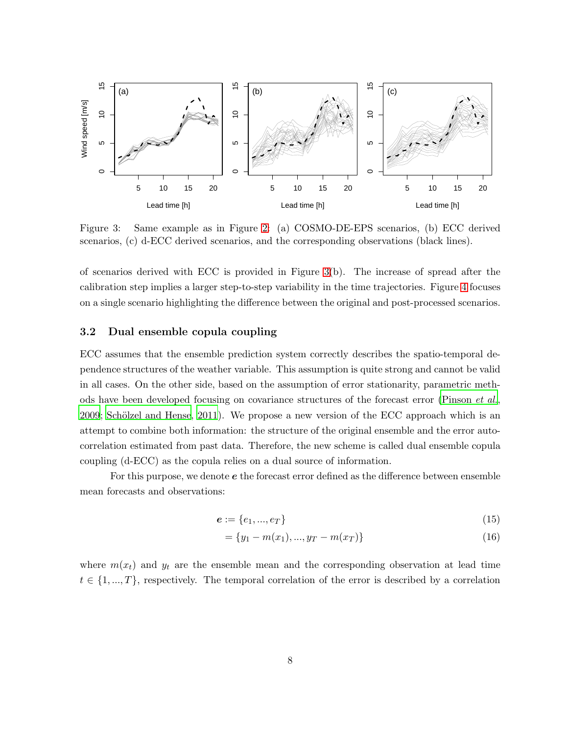

<span id="page-7-0"></span>Figure 3: Same example as in Figure [2:](#page-3-1) (a) COSMO-DE-EPS scenarios, (b) ECC derived scenarios, (c) d-ECC derived scenarios, and the corresponding observations (black lines).

of scenarios derived with ECC is provided in Figure [3\(](#page-7-0)b). The increase of spread after the calibration step implies a larger step-to-step variability in the time trajectories. Figure [4](#page-10-0) focuses on a single scenario highlighting the difference between the original and post-processed scenarios.

## 3.2 Dual ensemble copula coupling

ECC assumes that the ensemble prediction system correctly describes the spatio-temporal dependence structures of the weather variable. This assumption is quite strong and cannot be valid in all cases. On the other side, based on the assumption of error stationarity, parametric methods have been developed focusing on covariance structures of the forecast error [\(Pinson](#page-22-5) *et al.*,  $2009$ ; Schölzel and Hense,  $2011$ ). We propose a new version of the ECC approach which is an attempt to combine both information: the structure of the original ensemble and the error autocorrelation estimated from past data. Therefore, the new scheme is called dual ensemble copula coupling (d-ECC) as the copula relies on a dual source of information.

For this purpose, we denote e the forecast error defined as the difference between ensemble mean forecasts and observations:

$$
e := \{e_1, ..., e_T\} \tag{15}
$$

$$
= \{y_1 - m(x_1), ..., y_T - m(x_T)\}\tag{16}
$$

where  $m(x_t)$  and  $y_t$  are the ensemble mean and the corresponding observation at lead time  $t \in \{1, ..., T\}$ , respectively. The temporal correlation of the error is described by a correlation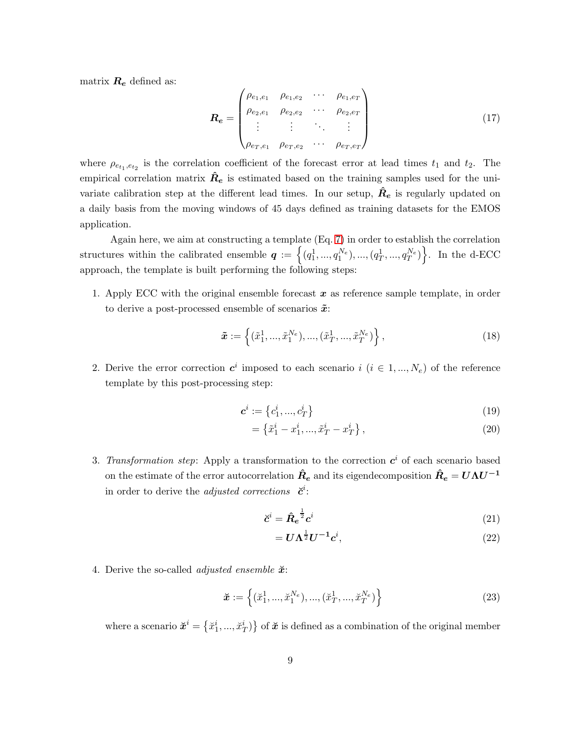matrix  $R_e$  defined as:

$$
\boldsymbol{R}_{e} = \begin{pmatrix} \rho_{e_1, e_1} & \rho_{e_1, e_2} & \cdots & \rho_{e_1, e_T} \\ \rho_{e_2, e_1} & \rho_{e_2, e_2} & \cdots & \rho_{e_2, e_T} \\ \vdots & \vdots & \ddots & \vdots \\ \rho_{e_T, e_1} & \rho_{e_T, e_2} & \cdots & \rho_{e_T, e_T} \end{pmatrix}
$$
 (17)

where  $\rho_{e_{t_1},e_{t_2}}$  is the correlation coefficient of the forecast error at lead times  $t_1$  and  $t_2$ . The empirical correlation matrix  $\hat{R}_e$  is estimated based on the training samples used for the univariate calibration step at the different lead times. In our setup,  $\hat{R}_e$  is regularly updated on a daily basis from the moving windows of 45 days defined as training datasets for the EMOS application.

Again here, we aim at constructing a template (Eq. [7\)](#page-5-2) in order to establish the correlation structures within the calibrated ensemble  $q := \left\{ (q_1^1, ..., q_1^{N_e}), ..., (q_T^1, ..., q_T^{N_e}) \right\}$ . In the d-ECC approach, the template is built performing the following steps:

1. Apply ECC with the original ensemble forecast  $x$  as reference sample template, in order to derive a post-processed ensemble of scenarios  $\tilde{x}$ :

$$
\tilde{\boldsymbol{x}} := \left\{ (\tilde{x}_1^1, ..., \tilde{x}_1^{N_e}), ..., (\tilde{x}_T^1, ..., \tilde{x}_T^{N_e}) \right\},\tag{18}
$$

2. Derive the error correction  $c^i$  imposed to each scenario  $i$  ( $i \in 1, ..., N_e$ ) of the reference template by this post-processing step:

$$
\mathbf{c}^i := \{c_1^i, ..., c_T^i\} \tag{19}
$$

<span id="page-8-1"></span>
$$
= \left\{ \tilde{x}_1^i - x_1^i, ..., \tilde{x}_T^i - x_T^i \right\},\tag{20}
$$

3. *Transformation step*: Apply a transformation to the correction  $c^i$  of each scenario based on the estimate of the error autocorrelation  $\hat{R}_e$  and its eigendecomposition  $\hat{R}_e = U\Lambda U^{-1}$ in order to derive the *adjusted corrections*  $\vec{c}^i$ :

$$
\breve{c}^i = \hat{R}_e^{\frac{1}{2}} c^i \tag{21}
$$

<span id="page-8-0"></span>
$$
=U\Lambda^{\frac{1}{2}}U^{-1}c^{i},\tag{22}
$$

4. Derive the so-called *adjusted ensemble*  $\check{x}$ :

$$
\tilde{\boldsymbol{x}} := \left\{ (\check{x}_1^1, ..., \check{x}_1^{N_e}), ..., (\check{x}_T^1, ..., \check{x}_T^{N_e}) \right\}
$$
\n(23)

where a scenario  $\mathbf{x}^i = \{x_1^i, ..., x_T^i\}$  of  $\mathbf{x}$  is defined as a combination of the original member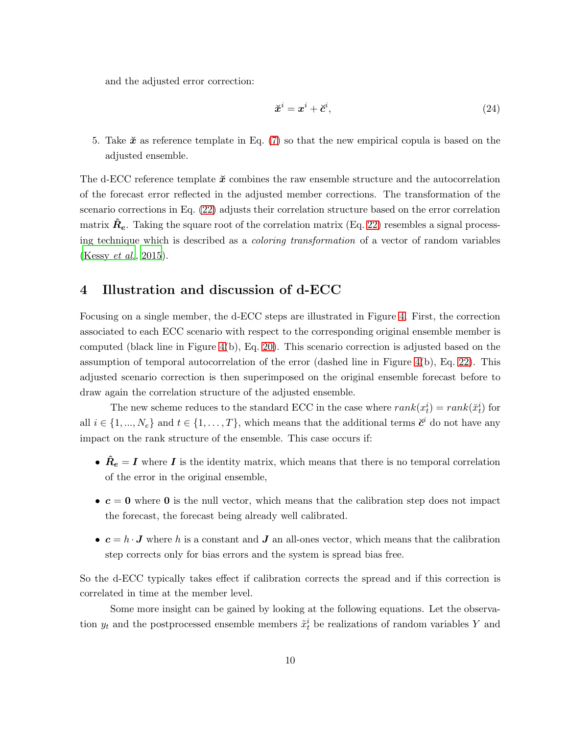and the adjusted error correction:

<span id="page-9-1"></span>
$$
\breve{x}^i = x^i + \breve{c}^i,\tag{24}
$$

5. Take  $\tilde{x}$  as reference template in Eq. [\(7\)](#page-5-2) so that the new empirical copula is based on the adjusted ensemble.

The d-ECC reference template  $\mathbf{\tilde{x}}$  combines the raw ensemble structure and the autocorrelation of the forecast error reflected in the adjusted member corrections. The transformation of the scenario corrections in Eq. [\(22\)](#page-8-0) adjusts their correlation structure based on the error correlation matrix  $\hat{R}_{e}$ . Taking the square root of the correlation matrix (Eq. [22\)](#page-8-0) resembles a signal processing technique which is described as a *coloring transformation* of a vector of random variables [\(Kessy](#page-21-8) *et al.*, [2015](#page-21-8)).

# <span id="page-9-0"></span>4 Illustration and discussion of d-ECC

Focusing on a single member, the d-ECC steps are illustrated in Figure [4.](#page-10-0) First, the correction associated to each ECC scenario with respect to the corresponding original ensemble member is computed (black line in Figure  $4(b)$ , Eq. [20\)](#page-8-1). This scenario correction is adjusted based on the assumption of temporal autocorrelation of the error (dashed line in Figure [4\(](#page-10-0)b), Eq. [22\)](#page-8-0). This adjusted scenario correction is then superimposed on the original ensemble forecast before to draw again the correlation structure of the adjusted ensemble.

The new scheme reduces to the standard ECC in the case where  $rank(x_t^i) = rank(\check{x}_t^i)$  for all  $i \in \{1, ..., N_e\}$  and  $t \in \{1, ..., T\}$ , which means that the additional terms  $\check{c}^i$  do not have any impact on the rank structure of the ensemble. This case occurs if:

- $\hat{R}_e = I$  where I is the identity matrix, which means that there is no temporal correlation of the error in the original ensemble,
- $\bullet$   $c = 0$  where 0 is the null vector, which means that the calibration step does not impact the forecast, the forecast being already well calibrated.
- $c = h \cdot J$  where h is a constant and J an all-ones vector, which means that the calibration step corrects only for bias errors and the system is spread bias free.

So the d-ECC typically takes effect if calibration corrects the spread and if this correction is correlated in time at the member level.

Some more insight can be gained by looking at the following equations. Let the observation  $y_t$  and the postprocessed ensemble members  $\tilde{x}_t^i$  be realizations of random variables Y and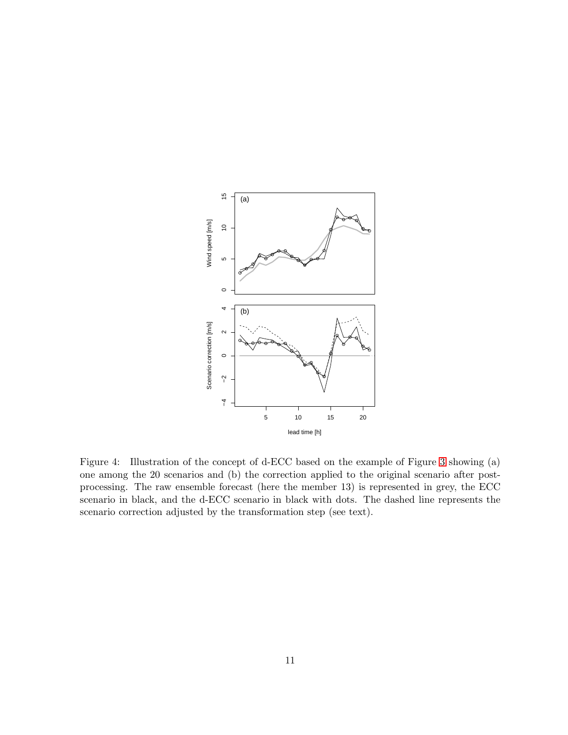

<span id="page-10-0"></span>Figure 4: Illustration of the concept of d-ECC based on the example of Figure [3](#page-7-0) showing (a) one among the 20 scenarios and (b) the correction applied to the original scenario after postprocessing. The raw ensemble forecast (here the member 13) is represented in grey, the ECC scenario in black, and the d-ECC scenario in black with dots. The dashed line represents the scenario correction adjusted by the transformation step (see text).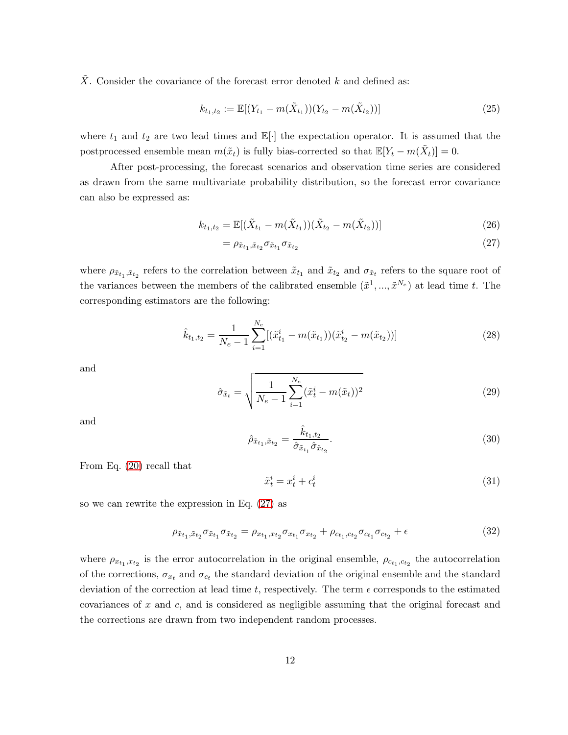$\overline{X}$ . Consider the covariance of the forecast error denoted k and defined as:

$$
k_{t_1,t_2} := \mathbb{E}[(Y_{t_1} - m(\tilde{X}_{t_1}))(Y_{t_2} - m(\tilde{X}_{t_2}))]
$$
\n(25)

where  $t_1$  and  $t_2$  are two lead times and  $\mathbb{E}[\cdot]$  the expectation operator. It is assumed that the postprocessed ensemble mean  $m(\tilde{x}_t)$  is fully bias-corrected so that  $\mathbb{E}[Y_t - m(\tilde{X}_t)] = 0$ .

After post-processing, the forecast scenarios and observation time series are considered as drawn from the same multivariate probability distribution, so the forecast error covariance can also be expressed as:

$$
k_{t_1,t_2} = \mathbb{E}[(\tilde{X}_{t_1} - m(\tilde{X}_{t_1}))(\tilde{X}_{t_2} - m(\tilde{X}_{t_2}))]
$$
\n(26)

<span id="page-11-0"></span>
$$
=\rho_{\tilde{x}_{t_1},\tilde{x}_{t_2}}\sigma_{\tilde{x}_{t_1}}\sigma_{\tilde{x}_{t_2}}\tag{27}
$$

where  $\rho_{\tilde{x}_{t_1}, \tilde{x}_{t_2}}$  refers to the correlation between  $\tilde{x}_{t_1}$  and  $\tilde{x}_{t_2}$  and  $\sigma_{\tilde{x}_t}$  refers to the square root of the variances between the members of the calibrated ensemble  $(\tilde{x}^1, ..., \tilde{x}^{N_e})$  at lead time t. The corresponding estimators are the following:

$$
\hat{k}_{t_1,t_2} = \frac{1}{N_e - 1} \sum_{i=1}^{N_e} [(\tilde{x}_{t_1}^i - m(\tilde{x}_{t_1}))(\tilde{x}_{t_2}^i - m(\tilde{x}_{t_2}))]
$$
\n(28)

and

$$
\hat{\sigma}_{\tilde{x}_t} = \sqrt{\frac{1}{N_e - 1} \sum_{i=1}^{N_e} (\tilde{x}_t^i - m(\tilde{x}_t))^2}
$$
(29)

and

$$
\hat{\rho}_{\tilde{x}_{t_1}, \tilde{x}_{t_2}} = \frac{\hat{k}_{t_1, t_2}}{\hat{\sigma}_{\tilde{x}_{t_1}} \hat{\sigma}_{\tilde{x}_{t_2}}}.
$$
\n(30)

From Eq. [\(20\)](#page-8-1) recall that

$$
\tilde{x}_t^i = x_t^i + c_t^i \tag{31}
$$

so we can rewrite the expression in Eq. [\(27\)](#page-11-0) as

<span id="page-11-1"></span>
$$
\rho_{\tilde{x}_{t_1},\tilde{x}_{t_2}} \sigma_{\tilde{x}_{t_1}} \sigma_{\tilde{x}_{t_2}} = \rho_{x_{t_1},x_{t_2}} \sigma_{x_{t_1}} \sigma_{x_{t_2}} + \rho_{c_{t_1},c_{t_2}} \sigma_{c_{t_1}} \sigma_{c_{t_2}} + \epsilon
$$
\n(32)

where  $\rho_{x_{t_1},x_{t_2}}$  is the error autocorrelation in the original ensemble,  $\rho_{c_{t_1},c_{t_2}}$  the autocorrelation of the corrections,  $\sigma_{x_t}$  and  $\sigma_{c_t}$  the standard deviation of the original ensemble and the standard deviation of the correction at lead time t, respectively. The term  $\epsilon$  corresponds to the estimated covariances of  $x$  and  $c$ , and is considered as negligible assuming that the original forecast and the corrections are drawn from two independent random processes.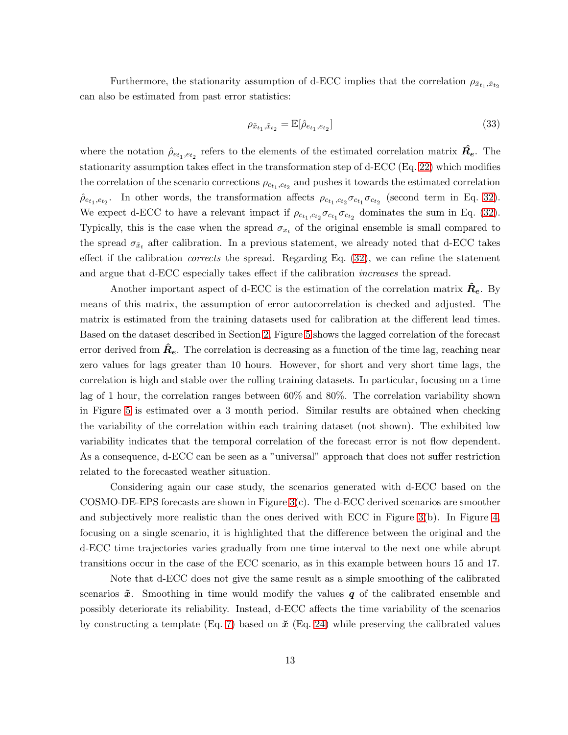Furthermore, the stationarity assumption of d-ECC implies that the correlation  $\rho_{\tilde{x}_{t_1}, \tilde{x}_{t_2}}$ can also be estimated from past error statistics:

$$
\rho_{\tilde{x}_{t_1}, \tilde{x}_{t_2}} = \mathbb{E}[\hat{\rho}_{e_{t_1}, e_{t_2}}] \tag{33}
$$

where the notation  $\hat{\rho}_{e_{t_1},e_{t_2}}$  refers to the elements of the estimated correlation matrix  $\hat{R_e}$ . The stationarity assumption takes effect in the transformation step of d-ECC (Eq. [22\)](#page-8-0) which modifies the correlation of the scenario corrections  $\rho_{c_{t_1},c_{t_2}}$  and pushes it towards the estimated correlation  $\hat{\rho}_{e_{t_1},e_{t_2}}$ . In other words, the transformation affects  $\rho_{c_{t_1},c_{t_2}}\sigma_{c_{t_1}}\sigma_{c_{t_2}}$  (second term in Eq. [32\)](#page-11-1). We expect d-ECC to have a relevant impact if  $\rho_{c_{t_1},c_{t_2}} \sigma_{c_{t_1}} \sigma_{c_{t_2}}$  dominates the sum in Eq. [\(32\)](#page-11-1). Typically, this is the case when the spread  $\sigma_{x_t}$  of the original ensemble is small compared to the spread  $\sigma_{\tilde{x}_t}$  after calibration. In a previous statement, we already noted that d-ECC takes effect if the calibration *corrects* the spread. Regarding Eq. [\(32\)](#page-11-1), we can refine the statement and argue that d-ECC especially takes effect if the calibration *increases* the spread.

Another important aspect of d-ECC is the estimation of the correlation matrix  $\boldsymbol{R}_{e}$ . By means of this matrix, the assumption of error autocorrelation is checked and adjusted. The matrix is estimated from the training datasets used for calibration at the different lead times. Based on the dataset described in Section [2,](#page-2-0) Figure [5](#page-13-1) shows the lagged correlation of the forecast error derived from  $R_e$ . The correlation is decreasing as a function of the time lag, reaching near zero values for lags greater than 10 hours. However, for short and very short time lags, the correlation is high and stable over the rolling training datasets. In particular, focusing on a time lag of 1 hour, the correlation ranges between 60% and 80%. The correlation variability shown in Figure [5](#page-13-1) is estimated over a 3 month period. Similar results are obtained when checking the variability of the correlation within each training dataset (not shown). The exhibited low variability indicates that the temporal correlation of the forecast error is not flow dependent. As a consequence, d-ECC can be seen as a "universal" approach that does not suffer restriction related to the forecasted weather situation.

Considering again our case study, the scenarios generated with d-ECC based on the COSMO-DE-EPS forecasts are shown in Figure [3\(](#page-7-0)c). The d-ECC derived scenarios are smoother and subjectively more realistic than the ones derived with ECC in Figure [3\(](#page-7-0)b). In Figure [4,](#page-10-0) focusing on a single scenario, it is highlighted that the difference between the original and the d-ECC time trajectories varies gradually from one time interval to the next one while abrupt transitions occur in the case of the ECC scenario, as in this example between hours 15 and 17.

Note that d-ECC does not give the same result as a simple smoothing of the calibrated scenarios  $\tilde{x}$ . Smoothing in time would modify the values q of the calibrated ensemble and possibly deteriorate its reliability. Instead, d-ECC affects the time variability of the scenarios by constructing a template (Eq. [7\)](#page-5-2) based on  $\check{x}$  (Eq. [24\)](#page-9-1) while preserving the calibrated values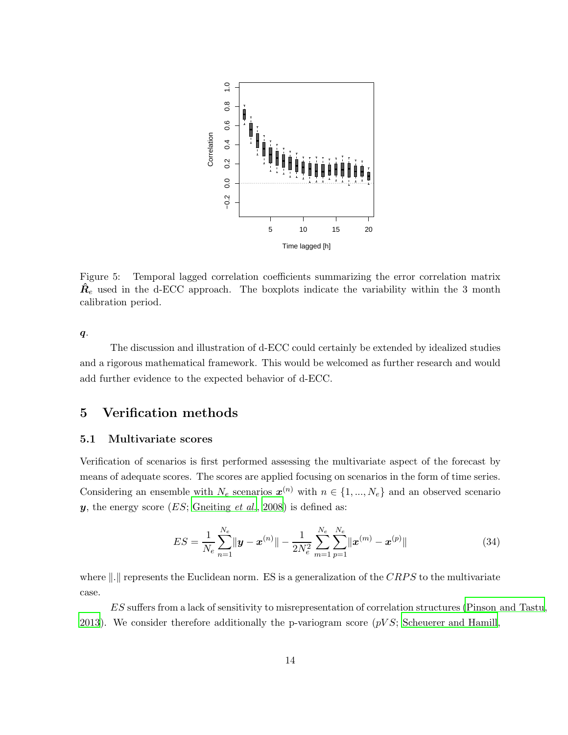

<span id="page-13-1"></span>Figure 5: Temporal lagged correlation coefficients summarizing the error correlation matrix  $\mathbf{R}_{e}$  used in the d-ECC approach. The boxplots indicate the variability within the 3 month calibration period.

 $q$ .

The discussion and illustration of d-ECC could certainly be extended by idealized studies and a rigorous mathematical framework. This would be welcomed as further research and would add further evidence to the expected behavior of d-ECC.

## <span id="page-13-0"></span>5 Verification methods

## 5.1 Multivariate scores

Verification of scenarios is first performed assessing the multivariate aspect of the forecast by means of adequate scores. The scores are applied focusing on scenarios in the form of time series. Considering an ensemble with  $N_e$  scenarios  $\mathbf{x}^{(n)}$  with  $n \in \{1, ..., N_e\}$  and an observed scenario y, the energy score (ES; [Gneiting](#page-21-9) *et al.*, [2008](#page-21-9)) is defined as:

$$
ES = \frac{1}{N_e} \sum_{n=1}^{N_e} ||\mathbf{y} - \mathbf{x}^{(n)}|| - \frac{1}{2N_e^2} \sum_{m=1}^{N_e} \sum_{p=1}^{N_e} ||\mathbf{x}^{(m)} - \mathbf{x}^{(p)}|| \tag{34}
$$

where  $\|.\|$  represents the Euclidean norm. ES is a generalization of the CRPS to the multivariate case.

ES suffers from a lack of sensitivity to misrepresentation of correlation structures [\(Pinson and Tastu](#page-22-11), [2013\)](#page-22-11). We consider therefore additionally the p-variogram score  $(pVS;$  [Scheuerer and Hamill,](#page-22-12)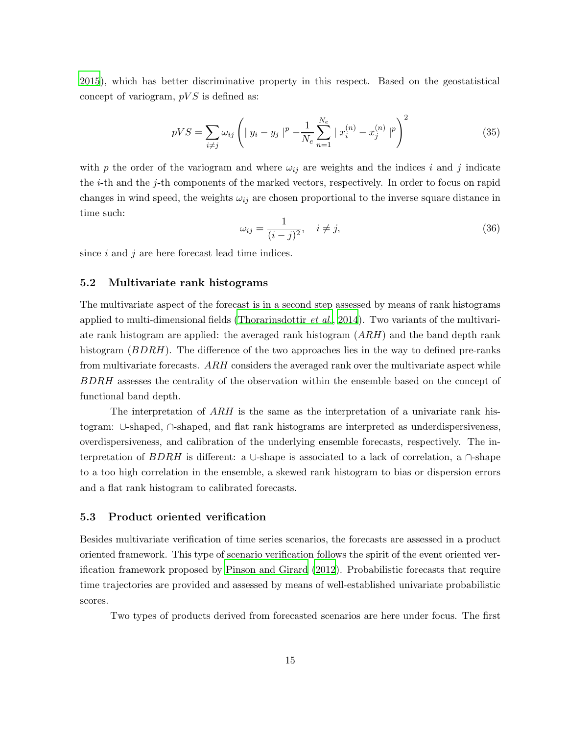[2015](#page-22-12)), which has better discriminative property in this respect. Based on the geostatistical concept of variogram,  $pVS$  is defined as:

$$
pVS = \sum_{i \neq j} \omega_{ij} \left( |y_i - y_j|^p - \frac{1}{N_e} \sum_{n=1}^{N_e} |x_i^{(n)} - x_j^{(n)}|^p \right)^2 \tag{35}
$$

with p the order of the variogram and where  $\omega_{ij}$  are weights and the indices i and j indicate the i-th and the j-th components of the marked vectors, respectively. In order to focus on rapid changes in wind speed, the weights  $\omega_{ij}$  are chosen proportional to the inverse square distance in time such:

$$
\omega_{ij} = \frac{1}{(i-j)^2}, \quad i \neq j,
$$
\n(36)

since  $i$  and  $j$  are here forecast lead time indices.

## 5.2 Multivariate rank histograms

The multivariate aspect of the forecast is in a second step assessed by means of rank histograms applied to multi-dimensional fields [\(Thorarinsdottir](#page-23-2) *et al.*, [2014](#page-23-2)). Two variants of the multivariate rank histogram are applied: the averaged rank histogram  $(ARH)$  and the band depth rank histogram (BDRH). The difference of the two approaches lies in the way to defined pre-ranks from multivariate forecasts. ARH considers the averaged rank over the multivariate aspect while BDRH assesses the centrality of the observation within the ensemble based on the concept of functional band depth.

The interpretation of ARH is the same as the interpretation of a univariate rank histogram: ∪-shaped, ∩-shaped, and flat rank histograms are interpreted as underdispersiveness, overdispersiveness, and calibration of the underlying ensemble forecasts, respectively. The interpretation of BDRH is different: a ∪-shape is associated to a lack of correlation, a  $\cap$ -shape to a too high correlation in the ensemble, a skewed rank histogram to bias or dispersion errors and a flat rank histogram to calibrated forecasts.

#### 5.3 Product oriented verification

Besides multivariate verification of time series scenarios, the forecasts are assessed in a product oriented framework. This type of scenario verification follows the spirit of the event oriented verification framework proposed by [Pinson and Girard \(2012](#page-22-13)). Probabilistic forecasts that require time trajectories are provided and assessed by means of well-established univariate probabilistic scores.

Two types of products derived from forecasted scenarios are here under focus. The first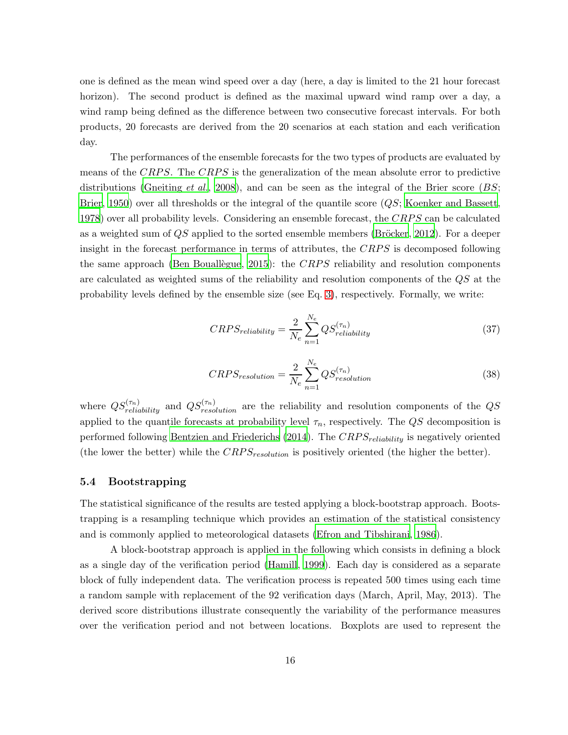one is defined as the mean wind speed over a day (here, a day is limited to the 21 hour forecast horizon). The second product is defined as the maximal upward wind ramp over a day, a wind ramp being defined as the difference between two consecutive forecast intervals. For both products, 20 forecasts are derived from the 20 scenarios at each station and each verification day.

The performances of the ensemble forecasts for the two types of products are evaluated by means of the CRPS. The CRPS is the generalization of the mean absolute error to predictive distributions [\(Gneiting](#page-21-9) *et al.*, [2008](#page-21-9)), and can be seen as the integral of the Brier score  $(BS;$ [Brier](#page-21-10), [1950\)](#page-21-10) over all thresholds or the integral of the quantile score (QS; [Koenker and Bassett,](#page-21-7) [1978](#page-21-7)) over all probability levels. Considering an ensemble forecast, the CRPS can be calculated as a weighted sum of  $QS$  applied to the sorted ensemble members (Bröcker, [2012](#page-21-11)). For a deeper insight in the forecast performance in terms of attributes, the  $CRPS$  is decomposed following the same approach (Ben Bouallegue, [2015](#page-20-2)): the CRPS reliability and resolution components are calculated as weighted sums of the reliability and resolution components of the QS at the probability levels defined by the ensemble size (see Eq. [3\)](#page-4-0), respectively. Formally, we write:

$$
CRPS_{reliability} = \frac{2}{N_e} \sum_{n=1}^{N_e} QS_{reliability}^{(\tau_n)}
$$
\n(37)

$$
CRPS_{resolution} = \frac{2}{N_e} \sum_{n=1}^{N_e} QS_{resolution}^{(\tau_n)}
$$
\n(38)

where  $QS_{reliability}^{(\tau_n)}$  and  $QS_{resolution}^{(\tau_n)}$  are the reliability and resolution components of the  $QS$ applied to the quantile forecasts at probability level  $\tau_n$ , respectively. The QS decomposition is performed following [Bentzien and Friederichs \(2014](#page-20-3)). The  $CRPS_{reliability}$  is negatively oriented (the lower the better) while the  $CRPS_{resolution}$  is positively oriented (the higher the better).

### 5.4 Bootstrapping

The statistical significance of the results are tested applying a block-bootstrap approach. Bootstrapping is a resampling technique which provides an estimation of the statistical consistency and is commonly applied to meteorological datasets [\(Efron and Tibshirani, 1986](#page-21-12)).

A block-bootstrap approach is applied in the following which consists in defining a block as a single day of the verification period [\(Hamill, 1999](#page-21-13)). Each day is considered as a separate block of fully independent data. The verification process is repeated 500 times using each time a random sample with replacement of the 92 verification days (March, April, May, 2013). The derived score distributions illustrate consequently the variability of the performance measures over the verification period and not between locations. Boxplots are used to represent the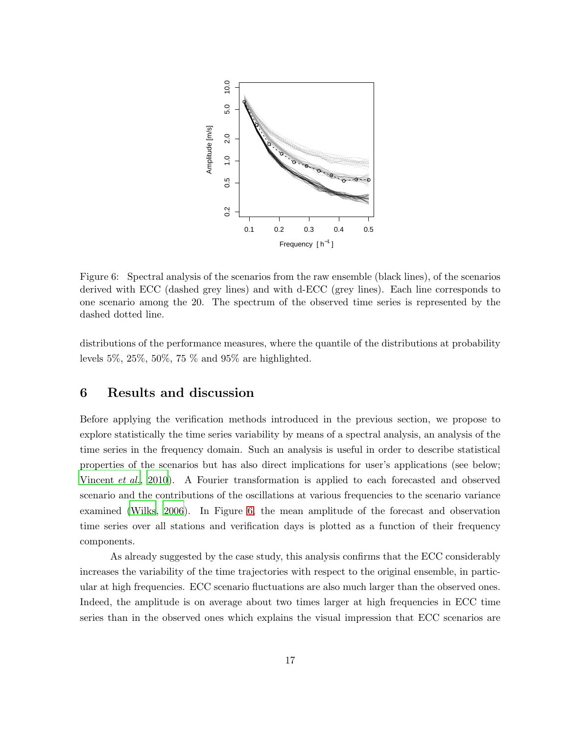

<span id="page-16-1"></span>Figure 6: Spectral analysis of the scenarios from the raw ensemble (black lines), of the scenarios derived with ECC (dashed grey lines) and with d-ECC (grey lines). Each line corresponds to one scenario among the 20. The spectrum of the observed time series is represented by the dashed dotted line.

distributions of the performance measures, where the quantile of the distributions at probability levels 5%, 25%, 50%, 75 % and 95% are highlighted.

# <span id="page-16-0"></span>6 Results and discussion

Before applying the verification methods introduced in the previous section, we propose to explore statistically the time series variability by means of a spectral analysis, an analysis of the time series in the frequency domain. Such an analysis is useful in order to describe statistical properties of the scenarios but has also direct implications for user's applications (see below; [Vincent](#page-23-3) *et al.*, [2010](#page-23-3)). A Fourier transformation is applied to each forecasted and observed scenario and the contributions of the oscillations at various frequencies to the scenario variance examined [\(Wilks](#page-23-4), [2006](#page-23-4)). In Figure [6,](#page-16-1) the mean amplitude of the forecast and observation time series over all stations and verification days is plotted as a function of their frequency components.

As already suggested by the case study, this analysis confirms that the ECC considerably increases the variability of the time trajectories with respect to the original ensemble, in particular at high frequencies. ECC scenario fluctuations are also much larger than the observed ones. Indeed, the amplitude is on average about two times larger at high frequencies in ECC time series than in the observed ones which explains the visual impression that ECC scenarios are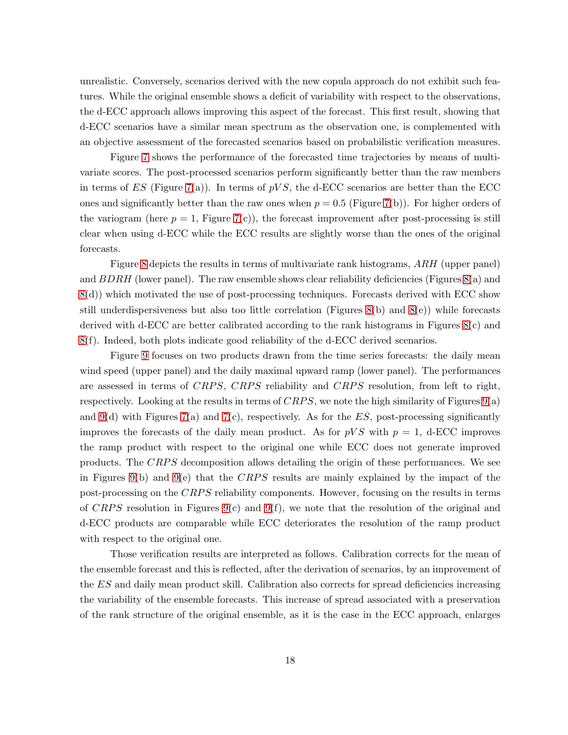unrealistic. Conversely, scenarios derived with the new copula approach do not exhibit such features. While the original ensemble shows a deficit of variability with respect to the observations, the d-ECC approach allows improving this aspect of the forecast. This first result, showing that d-ECC scenarios have a similar mean spectrum as the observation one, is complemented with an objective assessment of the forecasted scenarios based on probabilistic verification measures.

Figure [7](#page-18-0) shows the performance of the forecasted time trajectories by means of multivariate scores. The post-processed scenarios perform significantly better than the raw members in terms of ES (Figure [7\(](#page-18-0)a)). In terms of  $pVS$ , the d-ECC scenarios are better than the ECC ones and significantly better than the raw ones when  $p = 0.5$  (Figure [7\(](#page-18-0)b)). For higher orders of the variogram (here  $p = 1$ , Figure [7\(](#page-18-0)c)), the forecast improvement after post-processing is still clear when using d-ECC while the ECC results are slightly worse than the ones of the original forecasts.

Figure [8](#page-19-0) depicts the results in terms of multivariate rank histograms, ARH (upper panel) and  $BDRH$  (lower panel). The raw ensemble shows clear reliability deficiencies (Figures [8\(](#page-19-0)a) and [8\(](#page-19-0)d)) which motivated the use of post-processing techniques. Forecasts derived with ECC show still underdispersiveness but also too little correlation (Figures  $8(b)$  and  $8(e)$ ) while forecasts derived with d-ECC are better calibrated according to the rank histograms in Figures [8\(](#page-19-0)c) and [8\(](#page-19-0)f). Indeed, both plots indicate good reliability of the d-ECC derived scenarios.

Figure [9](#page-19-1) focuses on two products drawn from the time series forecasts: the daily mean wind speed (upper panel) and the daily maximal upward ramp (lower panel). The performances are assessed in terms of CRPS, CRPS reliability and CRPS resolution, from left to right, respectively. Looking at the results in terms of  $CRPS$ , we note the high similarity of Figures [9\(](#page-19-1)a) and [9\(](#page-19-1)d) with Figures [7\(](#page-18-0)a) and 7(c), respectively. As for the  $ES$ , post-processing significantly improves the forecasts of the daily mean product. As for  $pVS$  with  $p = 1$ , d-ECC improves the ramp product with respect to the original one while ECC does not generate improved products. The CRPS decomposition allows detailing the origin of these performances. We see in Figures [9\(](#page-19-1)b) and 9(e) that the CRPS results are mainly explained by the impact of the post-processing on the CRPS reliability components. However, focusing on the results in terms of CRPS resolution in Figures [9\(](#page-19-1)c) and 9(f), we note that the resolution of the original and d-ECC products are comparable while ECC deteriorates the resolution of the ramp product with respect to the original one.

Those verification results are interpreted as follows. Calibration corrects for the mean of the ensemble forecast and this is reflected, after the derivation of scenarios, by an improvement of the ES and daily mean product skill. Calibration also corrects for spread deficiencies increasing the variability of the ensemble forecasts. This increase of spread associated with a preservation of the rank structure of the original ensemble, as it is the case in the ECC approach, enlarges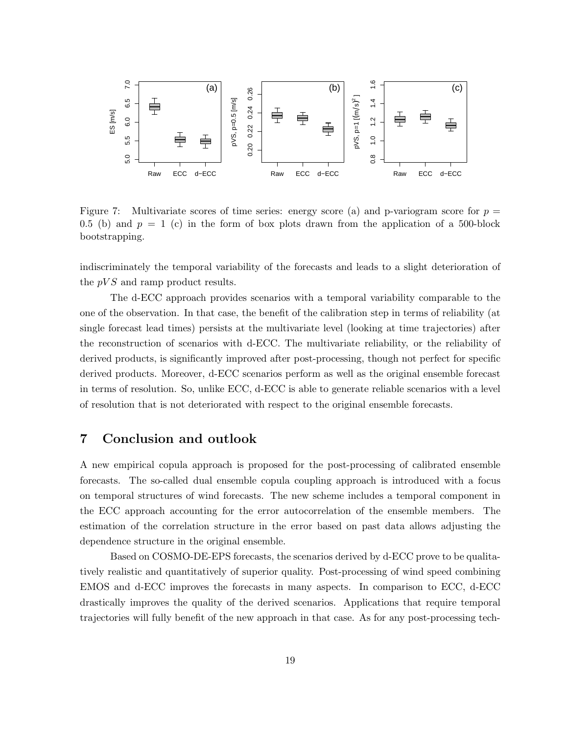

<span id="page-18-0"></span>Figure 7: Multivariate scores of time series: energy score (a) and p-variogram score for  $p =$ 0.5 (b) and  $p = 1$  (c) in the form of box plots drawn from the application of a 500-block bootstrapping.

indiscriminately the temporal variability of the forecasts and leads to a slight deterioration of the  $pVS$  and ramp product results.

The d-ECC approach provides scenarios with a temporal variability comparable to the one of the observation. In that case, the benefit of the calibration step in terms of reliability (at single forecast lead times) persists at the multivariate level (looking at time trajectories) after the reconstruction of scenarios with d-ECC. The multivariate reliability, or the reliability of derived products, is significantly improved after post-processing, though not perfect for specific derived products. Moreover, d-ECC scenarios perform as well as the original ensemble forecast in terms of resolution. So, unlike ECC, d-ECC is able to generate reliable scenarios with a level of resolution that is not deteriorated with respect to the original ensemble forecasts.

# 7 Conclusion and outlook

A new empirical copula approach is proposed for the post-processing of calibrated ensemble forecasts. The so-called dual ensemble copula coupling approach is introduced with a focus on temporal structures of wind forecasts. The new scheme includes a temporal component in the ECC approach accounting for the error autocorrelation of the ensemble members. The estimation of the correlation structure in the error based on past data allows adjusting the dependence structure in the original ensemble.

Based on COSMO-DE-EPS forecasts, the scenarios derived by d-ECC prove to be qualitatively realistic and quantitatively of superior quality. Post-processing of wind speed combining EMOS and d-ECC improves the forecasts in many aspects. In comparison to ECC, d-ECC drastically improves the quality of the derived scenarios. Applications that require temporal trajectories will fully benefit of the new approach in that case. As for any post-processing tech-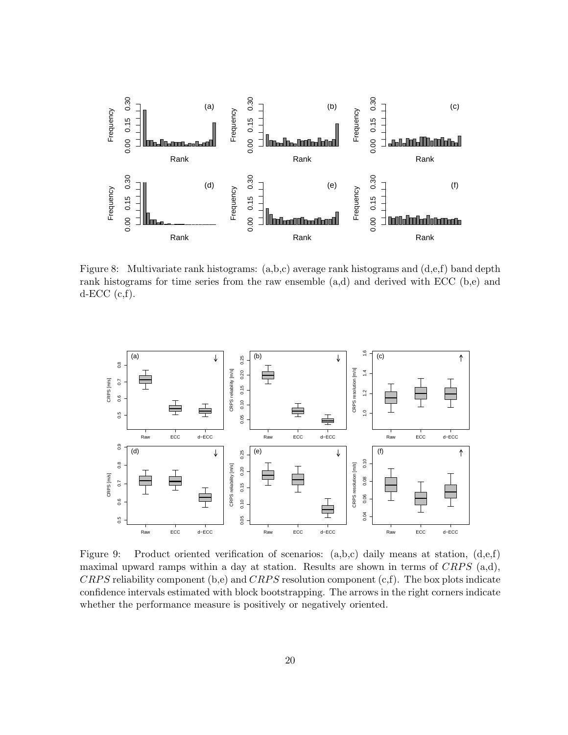

<span id="page-19-0"></span>Figure 8: Multivariate rank histograms: (a,b,c) average rank histograms and (d,e,f) band depth rank histograms for time series from the raw ensemble  $(a,d)$  and derived with ECC  $(b,e)$  and  $d$ -ECC  $(c,f)$ .



<span id="page-19-1"></span>Figure 9: Product oriented verification of scenarios: (a,b,c) daily means at station, (d,e,f) maximal upward ramps within a day at station. Results are shown in terms of  $CRPS$  (a,d), CRPS reliability component (b,e) and CRPS resolution component (c,f). The box plots indicate confidence intervals estimated with block bootstrapping. The arrows in the right corners indicate whether the performance measure is positively or negatively oriented.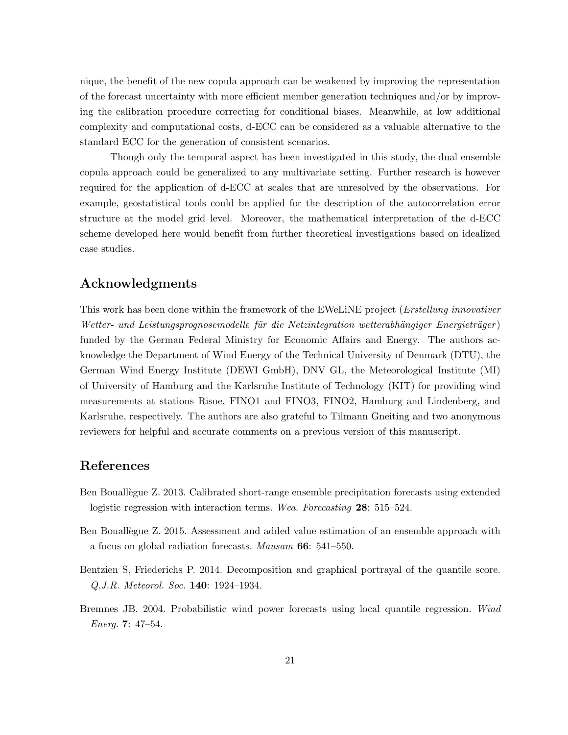nique, the benefit of the new copula approach can be weakened by improving the representation of the forecast uncertainty with more efficient member generation techniques and/or by improving the calibration procedure correcting for conditional biases. Meanwhile, at low additional complexity and computational costs, d-ECC can be considered as a valuable alternative to the standard ECC for the generation of consistent scenarios.

Though only the temporal aspect has been investigated in this study, the dual ensemble copula approach could be generalized to any multivariate setting. Further research is however required for the application of d-ECC at scales that are unresolved by the observations. For example, geostatistical tools could be applied for the description of the autocorrelation error structure at the model grid level. Moreover, the mathematical interpretation of the d-ECC scheme developed here would benefit from further theoretical investigations based on idealized case studies.

# Acknowledgments

This work has been done within the framework of the EWeLiNE project (*Erstellung innovativer* Wetter- und Leistungsprognosemodelle für die Netzintegration wetterabhängiger Energieträger) funded by the German Federal Ministry for Economic Affairs and Energy. The authors acknowledge the Department of Wind Energy of the Technical University of Denmark (DTU), the German Wind Energy Institute (DEWI GmbH), DNV GL, the Meteorological Institute (MI) of University of Hamburg and the Karlsruhe Institute of Technology (KIT) for providing wind measurements at stations Risoe, FINO1 and FINO3, FINO2, Hamburg and Lindenberg, and Karlsruhe, respectively. The authors are also grateful to Tilmann Gneiting and two anonymous reviewers for helpful and accurate comments on a previous version of this manuscript.

## References

- <span id="page-20-1"></span>Ben Bouallegue Z. 2013. Calibrated short-range ensemble precipitation forecasts using extended logistic regression with interaction terms. *Wea. Forecasting* 28: 515–524.
- <span id="page-20-2"></span>Ben Bouallegue Z. 2015. Assessment and added value estimation of an ensemble approach with a focus on global radiation forecasts. *Mausam* 66: 541–550.
- <span id="page-20-3"></span>Bentzien S, Friederichs P. 2014. Decomposition and graphical portrayal of the quantile score. *Q.J.R. Meteorol. Soc.* 140: 1924–1934.
- <span id="page-20-0"></span>Bremnes JB. 2004. Probabilistic wind power forecasts using local quantile regression. *Wind Energ.* 7: 47–54.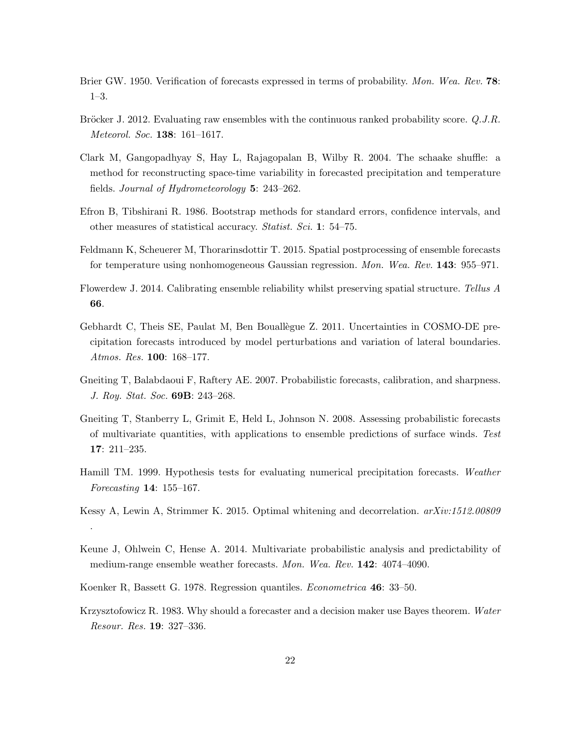- <span id="page-21-10"></span>Brier GW. 1950. Verification of forecasts expressed in terms of probability. *Mon. Wea. Rev.* 78: 1–3.
- <span id="page-21-11"></span>Bröcker J. 2012. Evaluating raw ensembles with the continuous ranked probability score. *Q.J.R. Meteorol. Soc.* 138: 161–1617.
- <span id="page-21-4"></span>Clark M, Gangopadhyay S, Hay L, Rajagopalan B, Wilby R. 2004. The schaake shuffle: a method for reconstructing space-time variability in forecasted precipitation and temperature fields. *Journal of Hydrometeorology* 5: 243–262.
- <span id="page-21-12"></span>Efron B, Tibshirani R. 1986. Bootstrap methods for standard errors, confidence intervals, and other measures of statistical accuracy. *Statist. Sci.* 1: 54–75.
- <span id="page-21-3"></span>Feldmann K, Scheuerer M, Thorarinsdottir T. 2015. Spatial postprocessing of ensemble forecasts for temperature using nonhomogeneous Gaussian regression. *Mon. Wea. Rev.* 143: 955–971.
- <span id="page-21-5"></span>Flowerdew J. 2014. Calibrating ensemble reliability whilst preserving spatial structure. *Tellus A* 66.
- <span id="page-21-6"></span>Gebhardt C, Theis SE, Paulat M, Ben Bouallègue Z. 2011. Uncertainties in COSMO-DE precipitation forecasts introduced by model perturbations and variation of lateral boundaries. *Atmos. Res.* 100: 168–177.
- <span id="page-21-1"></span>Gneiting T, Balabdaoui F, Raftery AE. 2007. Probabilistic forecasts, calibration, and sharpness. *J. Roy. Stat. Soc.* 69B: 243–268.
- <span id="page-21-9"></span>Gneiting T, Stanberry L, Grimit E, Held L, Johnson N. 2008. Assessing probabilistic forecasts of multivariate quantities, with applications to ensemble predictions of surface winds. *Test* 17: 211–235.
- <span id="page-21-13"></span>Hamill TM. 1999. Hypothesis tests for evaluating numerical precipitation forecasts. *Weather Forecasting* 14: 155–167.
- <span id="page-21-8"></span>Kessy A, Lewin A, Strimmer K. 2015. Optimal whitening and decorrelation. *arXiv:1512.00809* .
- <span id="page-21-2"></span>Keune J, Ohlwein C, Hense A. 2014. Multivariate probabilistic analysis and predictability of medium-range ensemble weather forecasts. *Mon. Wea. Rev.* 142: 4074–4090.
- <span id="page-21-7"></span>Koenker R, Bassett G. 1978. Regression quantiles. *Econometrica* 46: 33–50.
- <span id="page-21-0"></span>Krzysztofowicz R. 1983. Why should a forecaster and a decision maker use Bayes theorem. *Water Resour. Res.* 19: 327–336.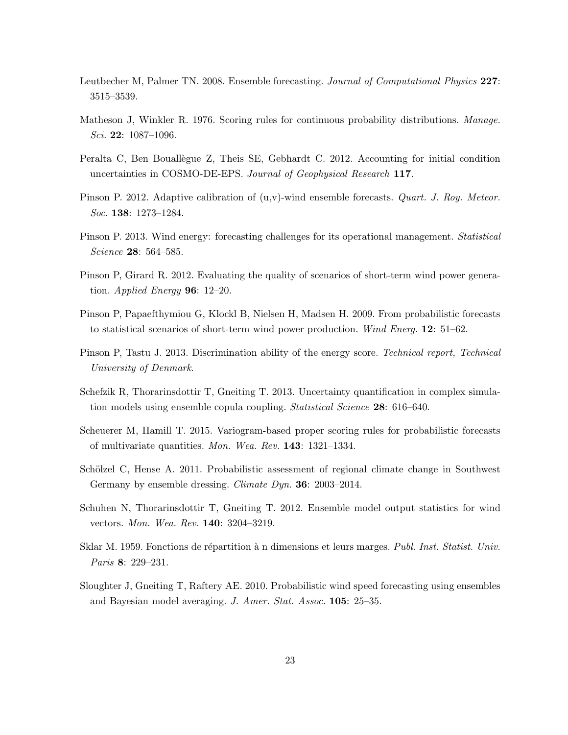- <span id="page-22-0"></span>Leutbecher M, Palmer TN. 2008. Ensemble forecasting. *Journal of Computational Physics* 227: 3515–3539.
- <span id="page-22-9"></span>Matheson J, Winkler R. 1976. Scoring rules for continuous probability distributions. *Manage. Sci.* 22: 1087–1096.
- <span id="page-22-8"></span>Peralta C, Ben Bouallegue Z, Theis SE, Gebhardt C. 2012. Accounting for initial condition uncertainties in COSMO-DE-EPS. *Journal of Geophysical Research* 117.
- <span id="page-22-3"></span>Pinson P. 2012. Adaptive calibration of (u,v)-wind ensemble forecasts. *Quart. J. Roy. Meteor. Soc.* 138: 1273–1284.
- <span id="page-22-1"></span>Pinson P. 2013. Wind energy: forecasting challenges for its operational management. *Statistical Science* 28: 564–585.
- <span id="page-22-13"></span>Pinson P, Girard R. 2012. Evaluating the quality of scenarios of short-term wind power generation. *Applied Energy* 96: 12–20.
- <span id="page-22-5"></span>Pinson P, Papaefthymiou G, Klockl B, Nielsen H, Madsen H. 2009. From probabilistic forecasts to statistical scenarios of short-term wind power production. *Wind Energ.* 12: 51–62.
- <span id="page-22-11"></span>Pinson P, Tastu J. 2013. Discrimination ability of the energy score. *Technical report, Technical University of Denmark*.
- <span id="page-22-6"></span>Schefzik R, Thorarinsdottir T, Gneiting T. 2013. Uncertainty quantification in complex simulation models using ensemble copula coupling. *Statistical Science* 28: 616–640.
- <span id="page-22-12"></span>Scheuerer M, Hamill T. 2015. Variogram-based proper scoring rules for probabilistic forecasts of multivariate quantities. *Mon. Wea. Rev.* 143: 1321–1334.
- <span id="page-22-7"></span>Schölzel C, Hense A. 2011. Probabilistic assessment of regional climate change in Southwest Germany by ensemble dressing. *Climate Dyn.* 36: 2003–2014.
- <span id="page-22-4"></span>Schuhen N, Thorarinsdottir T, Gneiting T. 2012. Ensemble model output statistics for wind vectors. *Mon. Wea. Rev.* 140: 3204–3219.
- <span id="page-22-10"></span>Sklar M. 1959. Fonctions de répartition à n dimensions et leurs marges. *Publ. Inst. Statist. Univ. Paris* 8: 229–231.
- <span id="page-22-2"></span>Sloughter J, Gneiting T, Raftery AE. 2010. Probabilistic wind speed forecasting using ensembles and Bayesian model averaging. *J. Amer. Stat. Assoc.* 105: 25–35.